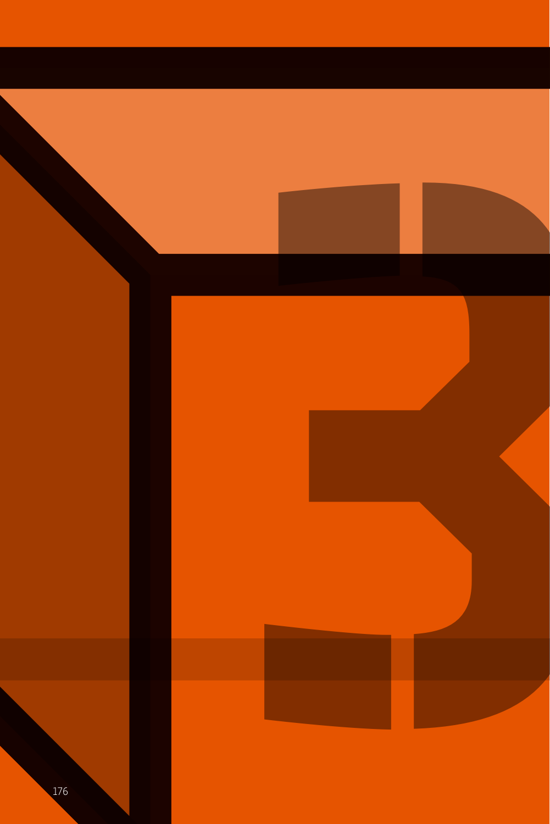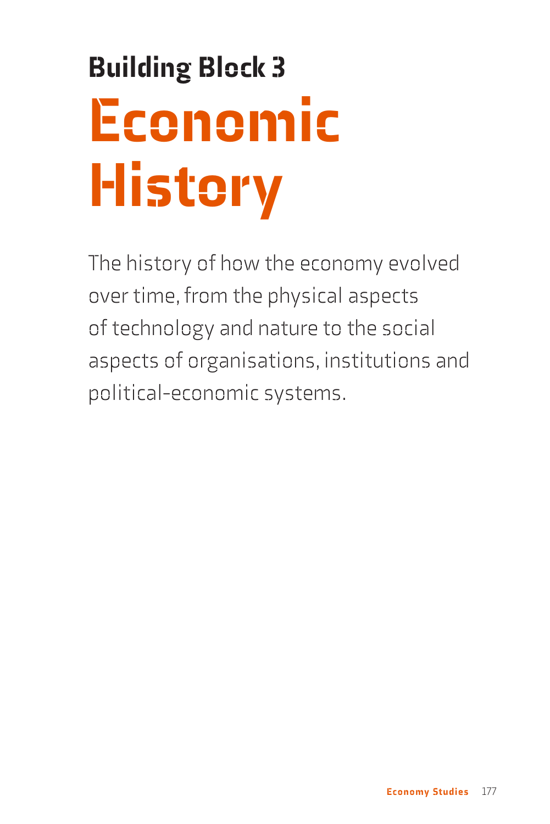# Building Block 3 Economic **History**

The history of how the economy evolved over time, from the physical aspects of technology and nature to the social aspects of organisations, institutions and political-economic systems.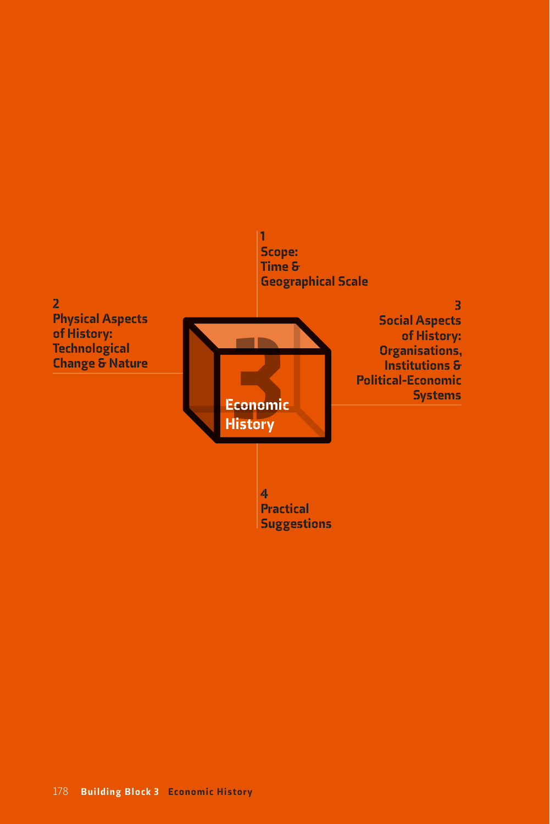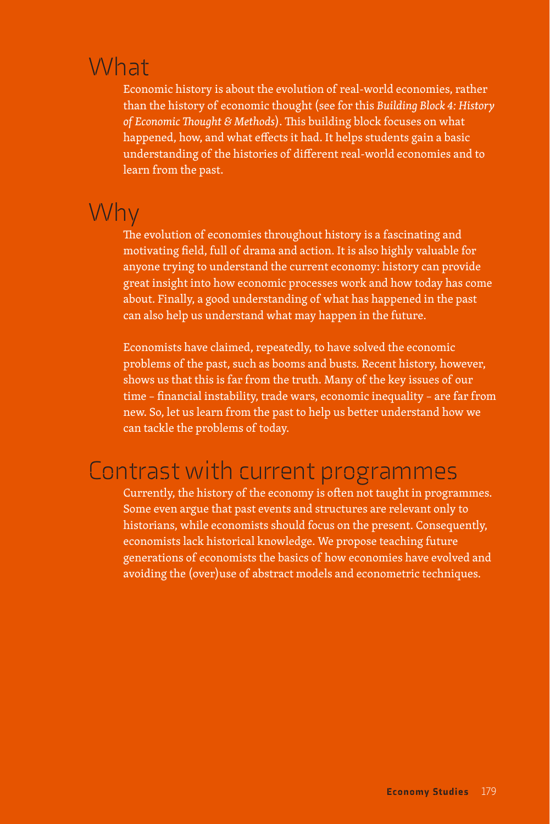## What

Economic history is about the evolution of real-world economies, rather than the history of economic thought (see for this *Building Block 4: History of Economic Thought & Methods*). This building block focuses on what happened, how, and what effects it had. It helps students gain a basic understanding of the histories of different real-world economies and to learn from the past.

#### Why

The evolution of economies throughout history is a fascinating and motivating field, full of drama and action. It is also highly valuable for anyone trying to understand the current economy: history can provide great insight into how economic processes work and how today has come about. Finally, a good understanding of what has happened in the past can also help us understand what may happen in the future.

Economists have claimed, repeatedly, to have solved the economic problems of the past, such as booms and busts. Recent history, however, shows us that this is far from the truth. Many of the key issues of our time – financial instability, trade wars, economic inequality – are far from new. So, let us learn from the past to help us better understand how we can tackle the problems of today.

### Contrast with current programmes

Currently, the history of the economy is often not taught in programmes. Some even argue that past events and structures are relevant only to historians, while economists should focus on the present. Consequently, economists lack historical knowledge. We propose teaching future generations of economists the basics of how economies have evolved and avoiding the (over)use of abstract models and econometric techniques.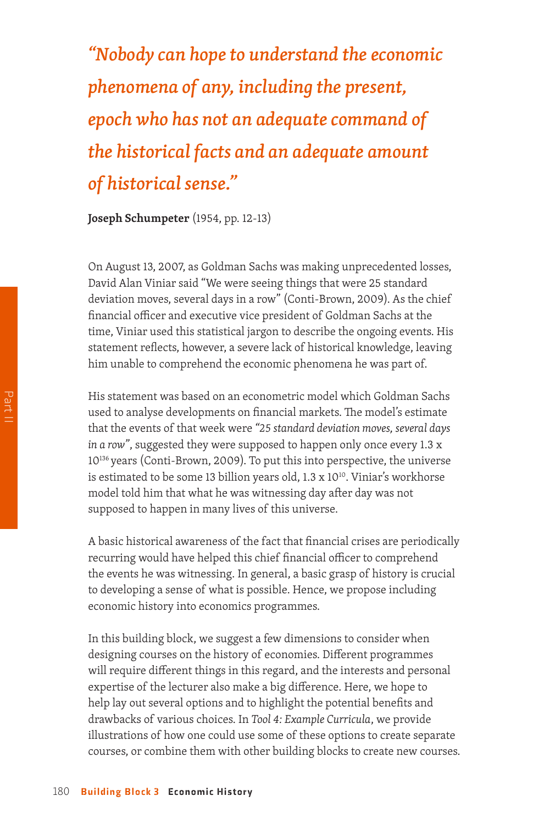*"Nobody can hope to understand the economic phenomena of any, including the present, epoch who has not an adequate command of the historical facts and an adequate amount of historical sense."* 

**Joseph Schumpeter** (1954, pp. 12-13)

On August 13, 2007, as Goldman Sachs was making unprecedented losses, David Alan Viniar said "We were seeing things that were 25 standard deviation moves, several days in a row" (Conti-Brown, 2009). As the chief financial officer and executive vice president of Goldman Sachs at the time, Viniar used this statistical jargon to describe the ongoing events. His statement reflects, however, a severe lack of historical knowledge, leaving him unable to comprehend the economic phenomena he was part of.

His statement was based on an econometric model which Goldman Sachs used to analyse developments on financial markets. The model's estimate that the events of that week were *"25 standard deviation moves, several days in a row"*, suggested they were supposed to happen only once every 1.3 x 10<sup>136</sup> years (Conti-Brown, 2009). To put this into perspective, the universe is estimated to be some 13 billion years old,  $1.3 \times 10^{10}$ . Viniar's workhorse model told him that what he was witnessing day after day was not supposed to happen in many lives of this universe.

A basic historical awareness of the fact that financial crises are periodically recurring would have helped this chief financial officer to comprehend the events he was witnessing. In general, a basic grasp of history is crucial to developing a sense of what is possible. Hence, we propose including economic history into economics programmes.

In this building block, we suggest a few dimensions to consider when designing courses on the history of economies. Different programmes will require different things in this regard, and the interests and personal expertise of the lecturer also make a big difference. Here, we hope to help lay out several options and to highlight the potential benefits and drawbacks of various choices. In *Tool 4: Example Curricula*, we provide illustrations of how one could use some of these options to create separate courses, or combine them with other building blocks to create new courses.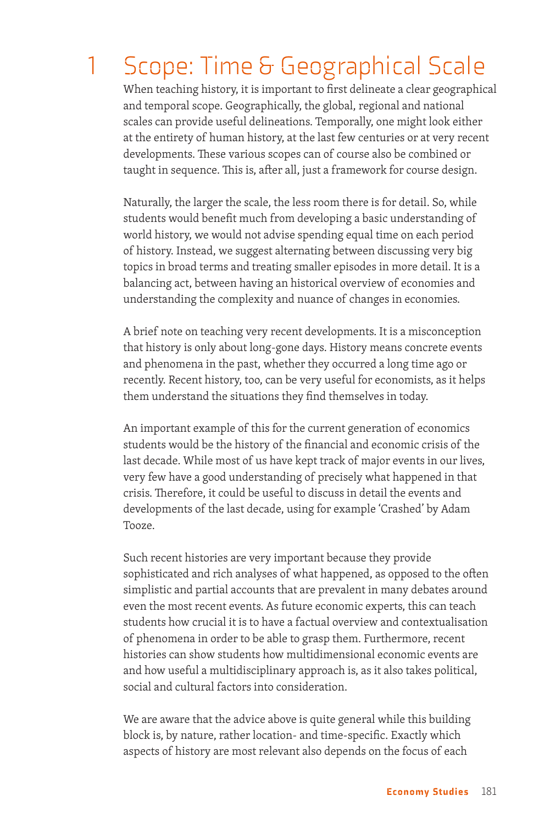# 1 Scope: Time & Geographical Scale

When teaching history, it is important to first delineate a clear geographical and temporal scope. Geographically, the global, regional and national scales can provide useful delineations. Temporally, one might look either at the entirety of human history, at the last few centuries or at very recent developments. These various scopes can of course also be combined or taught in sequence. This is, after all, just a framework for course design.

Naturally, the larger the scale, the less room there is for detail. So, while students would benefit much from developing a basic understanding of world history, we would not advise spending equal time on each period of history. Instead, we suggest alternating between discussing very big topics in broad terms and treating smaller episodes in more detail. It is a balancing act, between having an historical overview of economies and understanding the complexity and nuance of changes in economies.

A brief note on teaching very recent developments. It is a misconception that history is only about long-gone days. History means concrete events and phenomena in the past, whether they occurred a long time ago or recently. Recent history, too, can be very useful for economists, as it helps them understand the situations they find themselves in today.

An important example of this for the current generation of economics students would be the history of the financial and economic crisis of the last decade. While most of us have kept track of major events in our lives, very few have a good understanding of precisely what happened in that crisis. Therefore, it could be useful to discuss in detail the events and developments of the last decade, using for example 'Crashed' by Adam Tooze.

Such recent histories are very important because they provide sophisticated and rich analyses of what happened, as opposed to the often simplistic and partial accounts that are prevalent in many debates around even the most recent events. As future economic experts, this can teach students how crucial it is to have a factual overview and contextualisation of phenomena in order to be able to grasp them. Furthermore, recent histories can show students how multidimensional economic events are and how useful a multidisciplinary approach is, as it also takes political, social and cultural factors into consideration.

We are aware that the advice above is quite general while this building block is, by nature, rather location- and time-specific. Exactly which aspects of history are most relevant also depends on the focus of each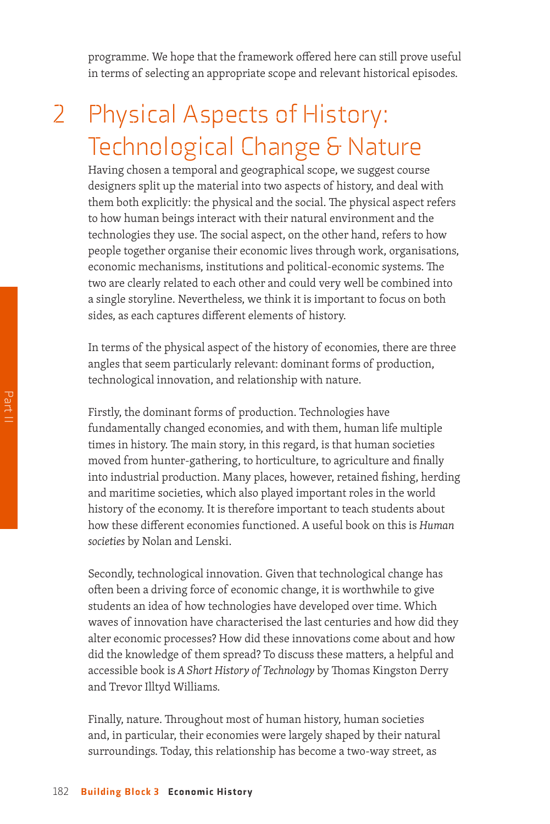programme. We hope that the framework offered here can still prove useful in terms of selecting an appropriate scope and relevant historical episodes.

## 2 Physical Aspects of History: Technological Change & Nature

Having chosen a temporal and geographical scope, we suggest course designers split up the material into two aspects of history, and deal with them both explicitly: the physical and the social. The physical aspect refers to how human beings interact with their natural environment and the technologies they use. The social aspect, on the other hand, refers to how people together organise their economic lives through work, organisations, economic mechanisms, institutions and political-economic systems. The two are clearly related to each other and could very well be combined into a single storyline. Nevertheless, we think it is important to focus on both sides, as each captures different elements of history.

In terms of the physical aspect of the history of economies, there are three angles that seem particularly relevant: dominant forms of production, technological innovation, and relationship with nature.

Firstly, the dominant forms of production. Technologies have fundamentally changed economies, and with them, human life multiple times in history. The main story, in this regard, is that human societies moved from hunter-gathering, to horticulture, to agriculture and finally into industrial production. Many places, however, retained fishing, herding and maritime societies, which also played important roles in the world history of the economy. It is therefore important to teach students about how these different economies functioned. A useful book on this is *Human societies* by Nolan and Lenski.

Secondly, technological innovation. Given that technological change has often been a driving force of economic change, it is worthwhile to give students an idea of how technologies have developed over time. Which waves of innovation have characterised the last centuries and how did they alter economic processes? How did these innovations come about and how did the knowledge of them spread? To discuss these matters, a helpful and accessible book is *A Short History of Technology* by Thomas Kingston Derry and Trevor Illtyd Williams.

Finally, nature. Throughout most of human history, human societies and, in particular, their economies were largely shaped by their natural surroundings. Today, this relationship has become a two-way street, as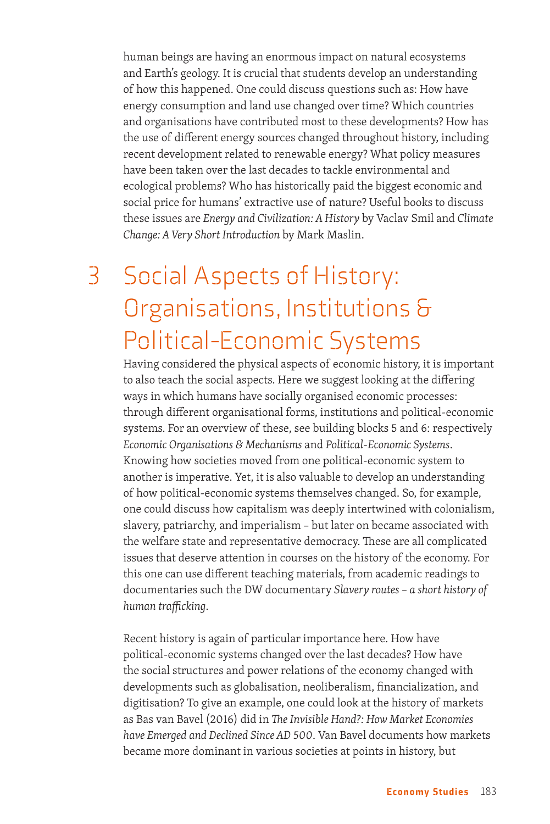human beings are having an enormous impact on natural ecosystems and Earth's geology. It is crucial that students develop an understanding of how this happened. One could discuss questions such as: How have energy consumption and land use changed over time? Which countries and organisations have contributed most to these developments? How has the use of different energy sources changed throughout history, including recent development related to renewable energy? What policy measures have been taken over the last decades to tackle environmental and ecological problems? Who has historically paid the biggest economic and social price for humans' extractive use of nature? Useful books to discuss these issues are *Energy and Civilization: A History* by Vaclav Smil and *Climate Change: A Very Short Introduction* by Mark Maslin.

## 3 Social Aspects of History: Organisations, Institutions & Political-Economic Systems

Having considered the physical aspects of economic history, it is important to also teach the social aspects. Here we suggest looking at the differing ways in which humans have socially organised economic processes: through different organisational forms, institutions and political-economic systems. For an overview of these, see building blocks 5 and 6: respectively *Economic Organisations & Mechanisms* and *Political-Economic Systems*. Knowing how societies moved from one political-economic system to another is imperative. Yet, it is also valuable to develop an understanding of how political-economic systems themselves changed. So, for example, one could discuss how capitalism was deeply intertwined with colonialism, slavery, patriarchy, and imperialism – but later on became associated with the welfare state and representative democracy. These are all complicated issues that deserve attention in courses on the history of the economy. For this one can use different teaching materials, from academic readings to documentaries such the DW documentary *Slavery routes – a short history of human trafficking*.

Recent history is again of particular importance here. How have political-economic systems changed over the last decades? How have the social structures and power relations of the economy changed with developments such as globalisation, neoliberalism, financialization, and digitisation? To give an example, one could look at the history of markets as Bas van Bavel (2016) did in *The Invisible Hand?: How Market Economies have Emerged and Declined Since AD 500*. Van Bavel documents how markets became more dominant in various societies at points in history, but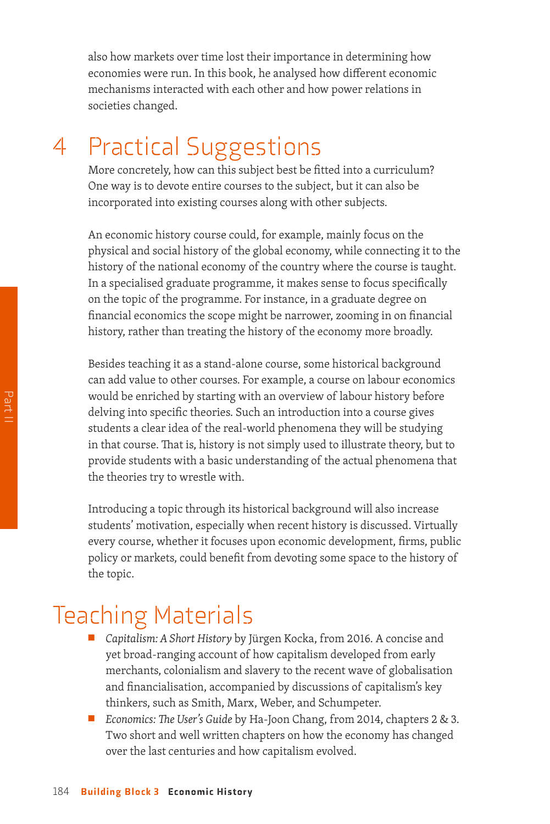also how markets over time lost their importance in determining how economies were run. In this book, he analysed how different economic mechanisms interacted with each other and how power relations in societies changed.

## 4 Practical Suggestions

More concretely, how can this subject best be fitted into a curriculum? One way is to devote entire courses to the subject, but it can also be incorporated into existing courses along with other subjects.

An economic history course could, for example, mainly focus on the physical and social history of the global economy, while connecting it to the history of the national economy of the country where the course is taught. In a specialised graduate programme, it makes sense to focus specifically on the topic of the programme. For instance, in a graduate degree on financial economics the scope might be narrower, zooming in on financial history, rather than treating the history of the economy more broadly.

Besides teaching it as a stand-alone course, some historical background can add value to other courses. For example, a course on labour economics would be enriched by starting with an overview of labour history before delving into specific theories. Such an introduction into a course gives students a clear idea of the real-world phenomena they will be studying in that course. That is, history is not simply used to illustrate theory, but to provide students with a basic understanding of the actual phenomena that the theories try to wrestle with.

Introducing a topic through its historical background will also increase students' motivation, especially when recent history is discussed. Virtually every course, whether it focuses upon economic development, firms, public policy or markets, could benefit from devoting some space to the history of the topic.

### Teaching Materials

- Capitalism: A Short History by Jürgen Kocka, from 2016. A concise and yet broad-ranging account of how capitalism developed from early merchants, colonialism and slavery to the recent wave of globalisation and financialisation, accompanied by discussions of capitalism's key thinkers, such as Smith, Marx, Weber, and Schumpeter.
- *Economics: The User's Guide* by Ha-Joon Chang, from 2014, chapters 2 & 3. Two short and well written chapters on how the economy has changed over the last centuries and how capitalism evolved.